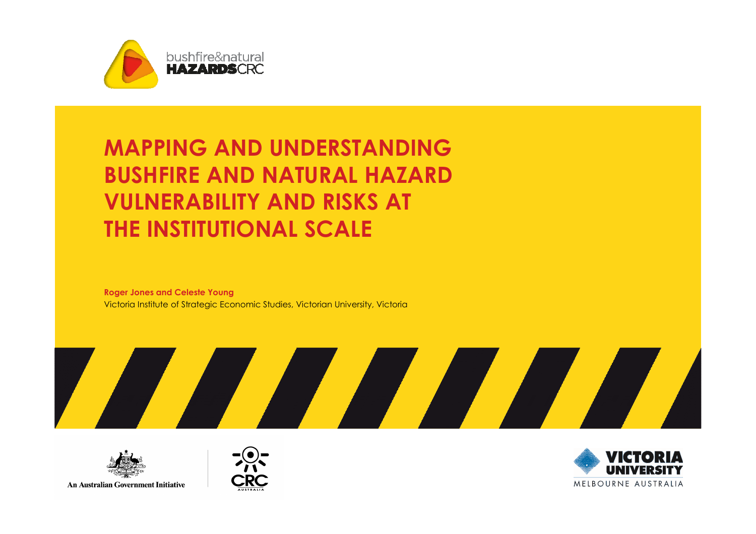

### MAPPING AND UNDERSTANDING BUSHFIRE AND NATURAL HAZARD VULNERABILITY AND RISKS AT THE INSTITUTIONAL SCALE

Roger Jones and Celeste YoungVictoria Institute of Strategic Economic Studies, Victorian University, Victoria



**An Australian Government Initiative** 



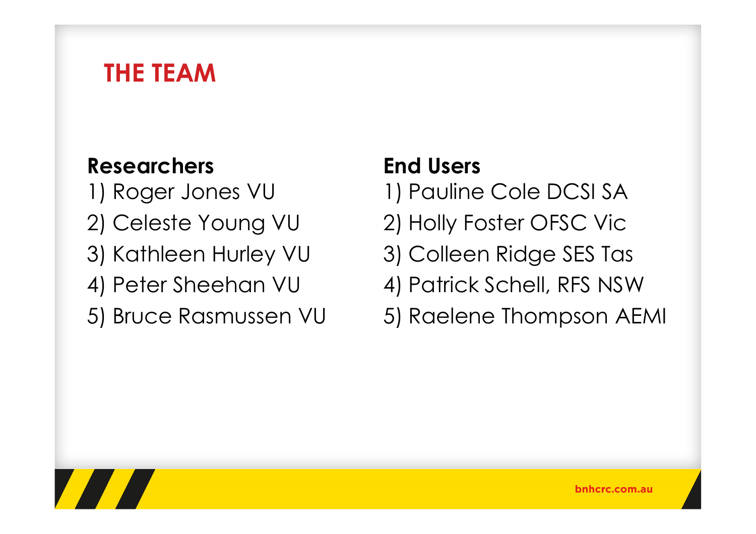### THE TEAM

#### Researchers

- 1) Roger Jones VU
- 2) Celeste Young VU
- 3) Kathleen Hurley VU
- 4) Peter Sheehan VU
- 5) Bruce Rasmussen VU

#### End Users

- 1) Pauline Cole DCSI SA
- 2) Holly Foster OFSC Vic
- 3) Colleen Ridge SES Tas
- 4) Patrick Schell, RFS NSW
- 5) Raelene Thompson AEMI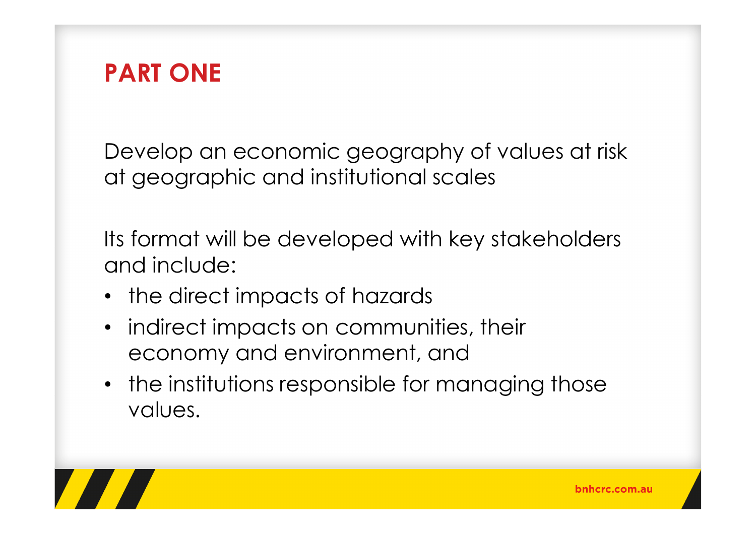

Develop an economic geography of values at risk at geographic and institutional scales

Its format will be developed with key stakeholders and include:

- the direct impacts of hazards
- indirect impacts on communities, their economy and environment, and
- the institutions responsible for managing those values.

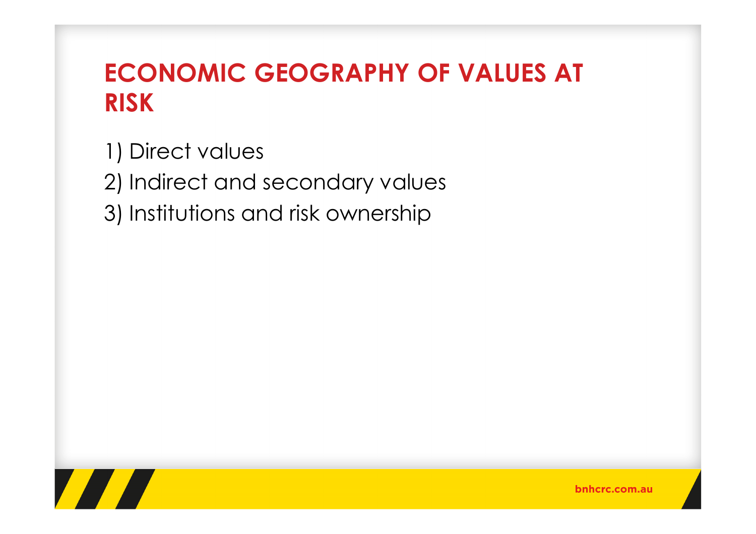# ECONOMIC GEOGRAPHY OF VALUES AT RISK

1) Direct values

2) Indirect and secondary values

3) Institutions and risk ownership

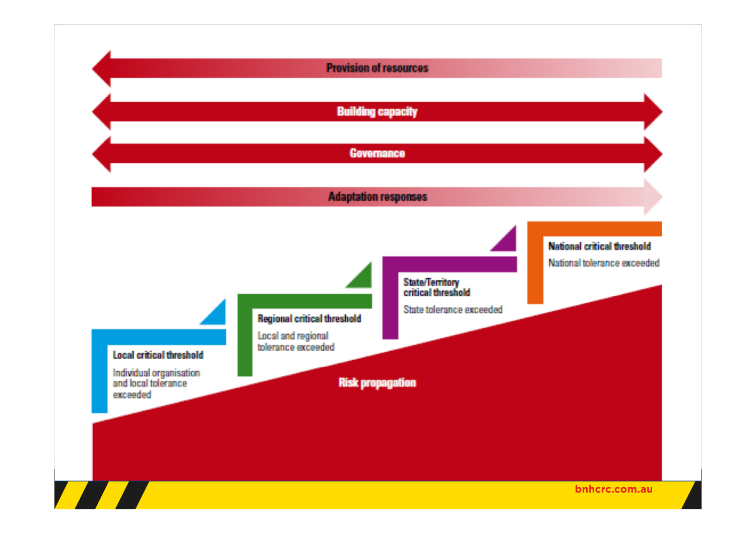